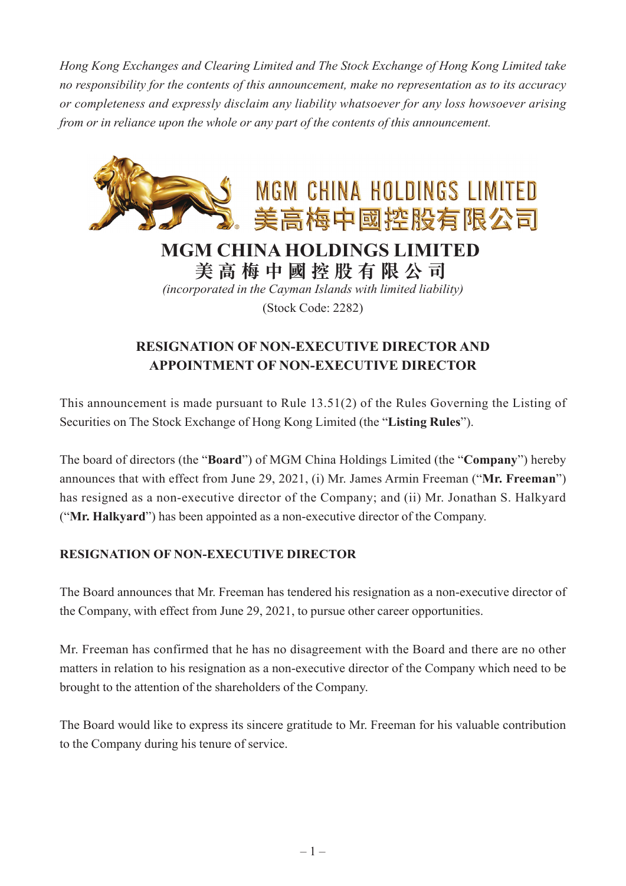*Hong Kong Exchanges and Clearing Limited and The Stock Exchange of Hong Kong Limited take no responsibility for the contents of this announcement, make no representation as to its accuracy or completeness and expressly disclaim any liability whatsoever for any loss howsoever arising from or in reliance upon the whole or any part of the contents of this announcement.*



## **MGM CHINA HOLDINGS LIMITED**

**美 高 梅 中 國 控 股 有 限 公 司** *(incorporated in the Cayman Islands with limited liability)* (Stock Code: 2282)

## **RESIGNATION OF NON-EXECUTIVE DIRECTOR AND APPOINTMENT OF NON-EXECUTIVE DIRECTOR**

This announcement is made pursuant to Rule 13.51(2) of the Rules Governing the Listing of Securities on The Stock Exchange of Hong Kong Limited (the "**Listing Rules**").

The board of directors (the "**Board**") of MGM China Holdings Limited (the "**Company**") hereby announces that with effect from June 29, 2021, (i) Mr. James Armin Freeman ("**Mr. Freeman**") has resigned as a non-executive director of the Company; and (ii) Mr. Jonathan S. Halkyard ("**Mr. Halkyard**") has been appointed as a non-executive director of the Company.

## **RESIGNATION OF NON-EXECUTIVE DIRECTOR**

The Board announces that Mr. Freeman has tendered his resignation as a non-executive director of the Company, with effect from June 29, 2021, to pursue other career opportunities.

Mr. Freeman has confirmed that he has no disagreement with the Board and there are no other matters in relation to his resignation as a non-executive director of the Company which need to be brought to the attention of the shareholders of the Company.

The Board would like to express its sincere gratitude to Mr. Freeman for his valuable contribution to the Company during his tenure of service.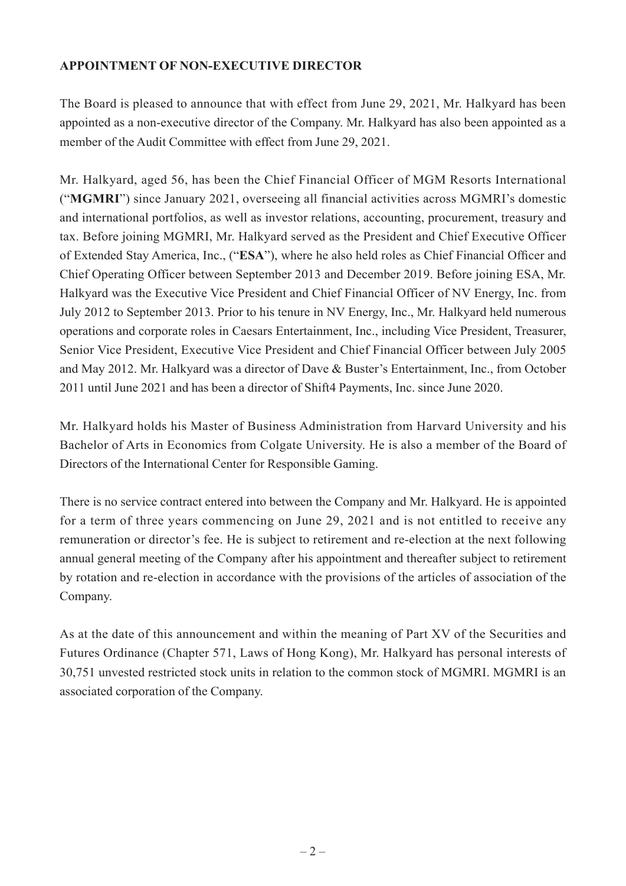## **APPOINTMENT OF NON-EXECUTIVE DIRECTOR**

The Board is pleased to announce that with effect from June 29, 2021, Mr. Halkyard has been appointed as a non-executive director of the Company. Mr. Halkyard has also been appointed as a member of the Audit Committee with effect from June 29, 2021.

Mr. Halkyard, aged 56, has been the Chief Financial Officer of MGM Resorts International ("**MGMRI**") since January 2021, overseeing all financial activities across MGMRI's domestic and international portfolios, as well as investor relations, accounting, procurement, treasury and tax. Before joining MGMRI, Mr. Halkyard served as the President and Chief Executive Officer of Extended Stay America, Inc., ("**ESA**"), where he also held roles as Chief Financial Officer and Chief Operating Officer between September 2013 and December 2019. Before joining ESA, Mr. Halkyard was the Executive Vice President and Chief Financial Officer of NV Energy, Inc. from July 2012 to September 2013. Prior to his tenure in NV Energy, Inc., Mr. Halkyard held numerous operations and corporate roles in Caesars Entertainment, Inc., including Vice President, Treasurer, Senior Vice President, Executive Vice President and Chief Financial Officer between July 2005 and May 2012. Mr. Halkyard was a director of Dave & Buster's Entertainment, Inc., from October 2011 until June 2021 and has been a director of Shift4 Payments, Inc. since June 2020.

Mr. Halkyard holds his Master of Business Administration from Harvard University and his Bachelor of Arts in Economics from Colgate University. He is also a member of the Board of Directors of the International Center for Responsible Gaming.

There is no service contract entered into between the Company and Mr. Halkyard. He is appointed for a term of three years commencing on June 29, 2021 and is not entitled to receive any remuneration or director's fee. He is subject to retirement and re-election at the next following annual general meeting of the Company after his appointment and thereafter subject to retirement by rotation and re-election in accordance with the provisions of the articles of association of the Company.

As at the date of this announcement and within the meaning of Part XV of the Securities and Futures Ordinance (Chapter 571, Laws of Hong Kong), Mr. Halkyard has personal interests of 30,751 unvested restricted stock units in relation to the common stock of MGMRI. MGMRI is an associated corporation of the Company.